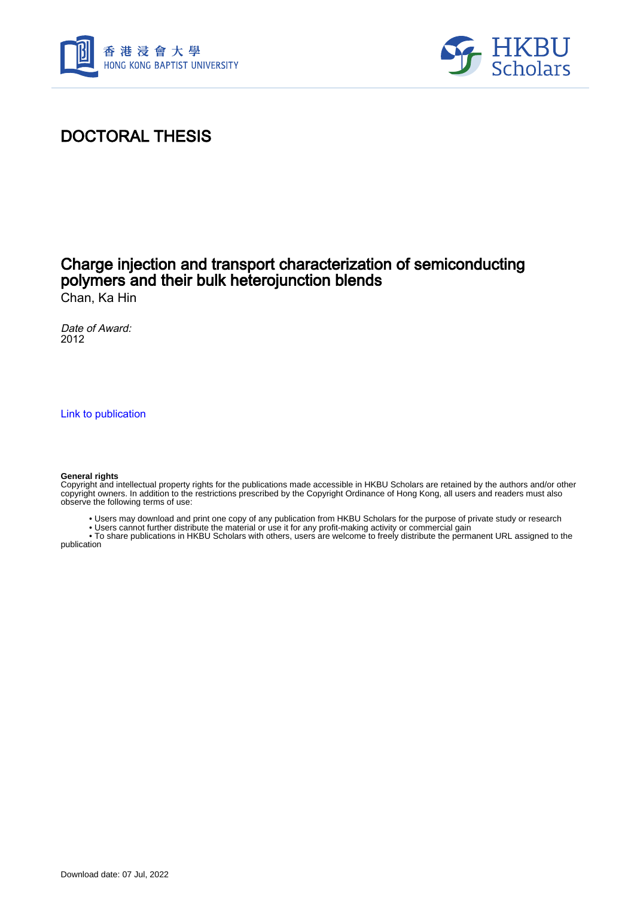



## DOCTORAL THESIS

# Charge injection and transport characterization of semiconducting polymers and their bulk heterojunction blends

Chan, Ka Hin

Date of Award: 2012

[Link to publication](https://scholars.hkbu.edu.hk/en/studentTheses/98747767-1369-4f17-882f-25389879819c)

#### **General rights**

Copyright and intellectual property rights for the publications made accessible in HKBU Scholars are retained by the authors and/or other copyright owners. In addition to the restrictions prescribed by the Copyright Ordinance of Hong Kong, all users and readers must also observe the following terms of use:

- Users may download and print one copy of any publication from HKBU Scholars for the purpose of private study or research
- Users cannot further distribute the material or use it for any profit-making activity or commercial gain

 • To share publications in HKBU Scholars with others, users are welcome to freely distribute the permanent URL assigned to the publication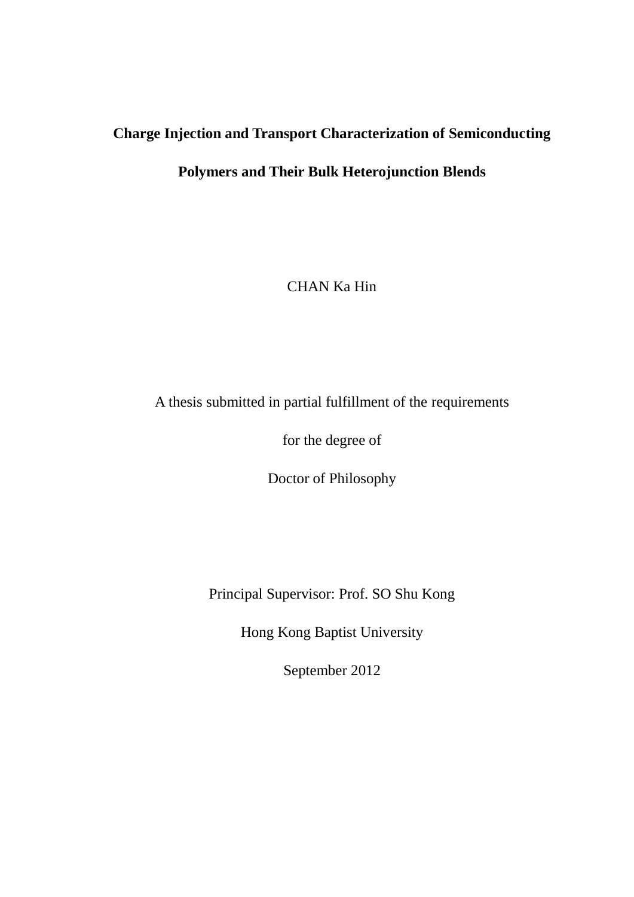### **Charge Injection and Transport Characterization of Semiconducting**

#### **Polymers and Their Bulk Heterojunction Blends**

CHAN Ka Hin

A thesis submitted in partial fulfillment of the requirements

for the degree of

Doctor of Philosophy

Principal Supervisor: Prof. SO Shu Kong

Hong Kong Baptist University

September 2012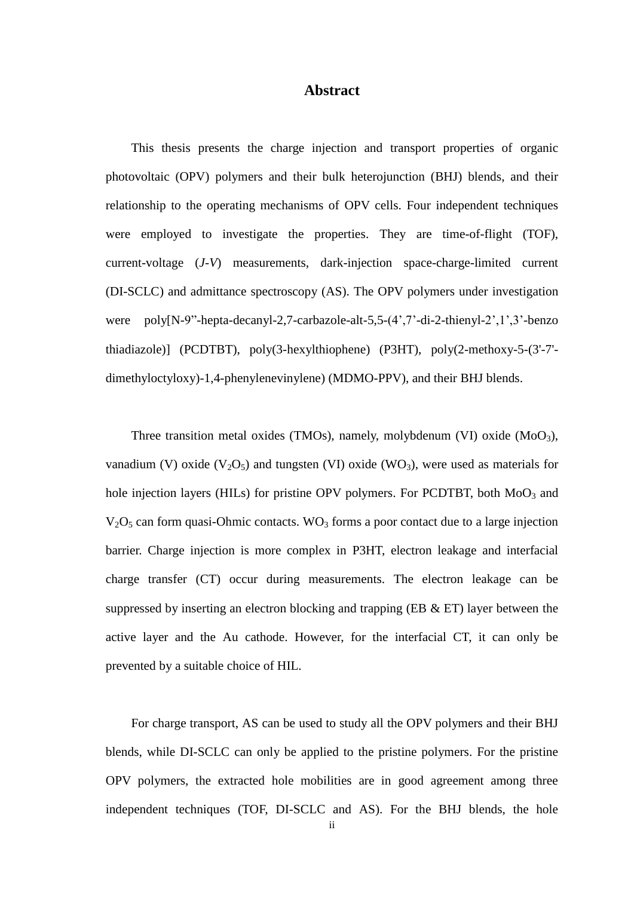#### **Abstract**

This thesis presents the charge injection and transport properties of organic photovoltaic (OPV) polymers and their bulk heterojunction (BHJ) blends, and their relationship to the operating mechanisms of OPV cells. Four independent techniques were employed to investigate the properties. They are time-of-flight (TOF), current-voltage (*J-V*) measurements, dark-injection space-charge-limited current (DI-SCLC) and admittance spectroscopy (AS). The OPV polymers under investigation were poly[N-9"-hepta-decanyl-2,7-carbazole-alt-5,5-(4',7'-di-2-thienyl-2',1',3'-benzo thiadiazole)] (PCDTBT), poly(3-hexylthiophene) (P3HT), poly(2-methoxy-5-(3'-7' dimethyloctyloxy)-1,4-phenylenevinylene) (MDMO-PPV), and their BHJ blends.

Three transition metal oxides (TMOs), namely, molybdenum (VI) oxide  $(MoO<sub>3</sub>)$ , vanadium (V) oxide  $(V_2O_5)$  and tungsten (VI) oxide (WO<sub>3</sub>), were used as materials for hole injection layers (HILs) for pristine OPV polymers. For PCDTBT, both  $MoO<sub>3</sub>$  and  $V<sub>2</sub>O<sub>5</sub>$  can form quasi-Ohmic contacts. WO<sub>3</sub> forms a poor contact due to a large injection barrier. Charge injection is more complex in P3HT, electron leakage and interfacial charge transfer (CT) occur during measurements. The electron leakage can be suppressed by inserting an electron blocking and trapping (EB & ET) layer between the active layer and the Au cathode. However, for the interfacial CT, it can only be prevented by a suitable choice of HIL.

For charge transport, AS can be used to study all the OPV polymers and their BHJ blends, while DI-SCLC can only be applied to the pristine polymers. For the pristine OPV polymers, the extracted hole mobilities are in good agreement among three independent techniques (TOF, DI-SCLC and AS). For the BHJ blends, the hole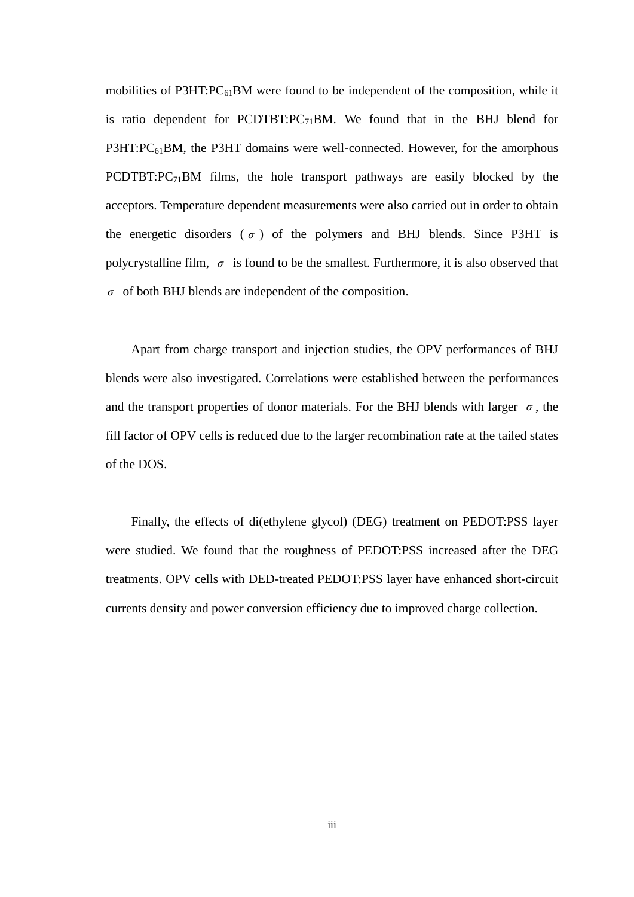mobilities of  $P3HT:PC_{61}BM$  were found to be independent of the composition, while it is ratio dependent for PCDTBT:PC $_{71}$ BM. We found that in the BHJ blend for  $P3HT:PC_{61}BM$ , the P3HT domains were well-connected. However, for the amorphous PCDTBT: $PC_{71}$ BM films, the hole transport pathways are easily blocked by the acceptors. Temperature dependent measurements were also carried out in order to obtain the energetic disorders  $(\sigma)$  of the polymers and BHJ blends. Since P3HT is polycrystalline film,  $\sigma$  is found to be the smallest. Furthermore, it is also observed that *σ* of both BHJ blends are independent of the composition.

Apart from charge transport and injection studies, the OPV performances of BHJ blends were also investigated. Correlations were established between the performances and the transport properties of donor materials. For the BHJ blends with larger  $\sigma$ , the fill factor of OPV cells is reduced due to the larger recombination rate at the tailed states of the DOS.

Finally, the effects of di(ethylene glycol) (DEG) treatment on PEDOT:PSS layer were studied. We found that the roughness of PEDOT:PSS increased after the DEG treatments. OPV cells with DED-treated PEDOT:PSS layer have enhanced short-circuit currents density and power conversion efficiency due to improved charge collection.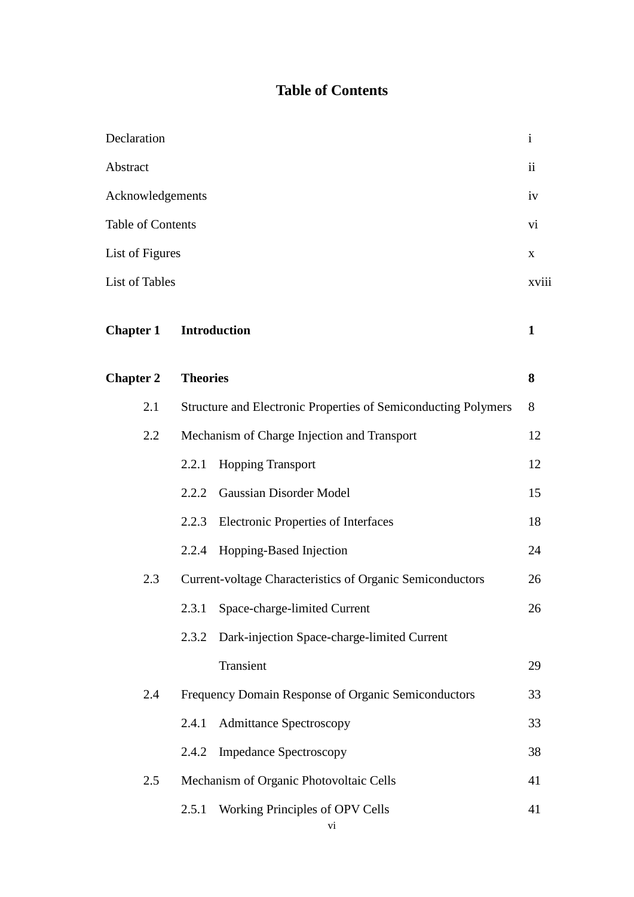#### **Table of Contents**

| Declaration           |                                                                | $\mathbf{i}$ |  |
|-----------------------|----------------------------------------------------------------|--------------|--|
| Abstract              |                                                                | ii           |  |
| Acknowledgements      |                                                                |              |  |
| Table of Contents     |                                                                | vi           |  |
| List of Figures       |                                                                | $\mathbf X$  |  |
| <b>List of Tables</b> |                                                                | xviii        |  |
| <b>Chapter 1</b>      | <b>Introduction</b>                                            | $\mathbf{1}$ |  |
| <b>Chapter 2</b>      | <b>Theories</b>                                                | 8            |  |
| 2.1                   | Structure and Electronic Properties of Semiconducting Polymers | 8            |  |
| 2.2                   | Mechanism of Charge Injection and Transport                    |              |  |
|                       | <b>Hopping Transport</b><br>2.2.1                              | 12           |  |
|                       | <b>Gaussian Disorder Model</b><br>2.2.2                        | 15           |  |
|                       | <b>Electronic Properties of Interfaces</b><br>2.2.3            | 18           |  |
|                       | Hopping-Based Injection<br>2.2.4                               | 24           |  |
| 2.3                   | Current-voltage Characteristics of Organic Semiconductors      |              |  |
|                       | 2.3.1 Space-charge-limited Current                             | 26           |  |
|                       | 2.3.2<br>Dark-injection Space-charge-limited Current           |              |  |
|                       | Transient                                                      | 29           |  |
| 2.4                   | Frequency Domain Response of Organic Semiconductors            |              |  |
|                       | <b>Admittance Spectroscopy</b><br>2.4.1                        | 33           |  |
|                       | <b>Impedance Spectroscopy</b><br>2.4.2                         | 38           |  |
| 2.5                   | Mechanism of Organic Photovoltaic Cells                        | 41           |  |
|                       | Working Principles of OPV Cells<br>2.5.1                       | 41           |  |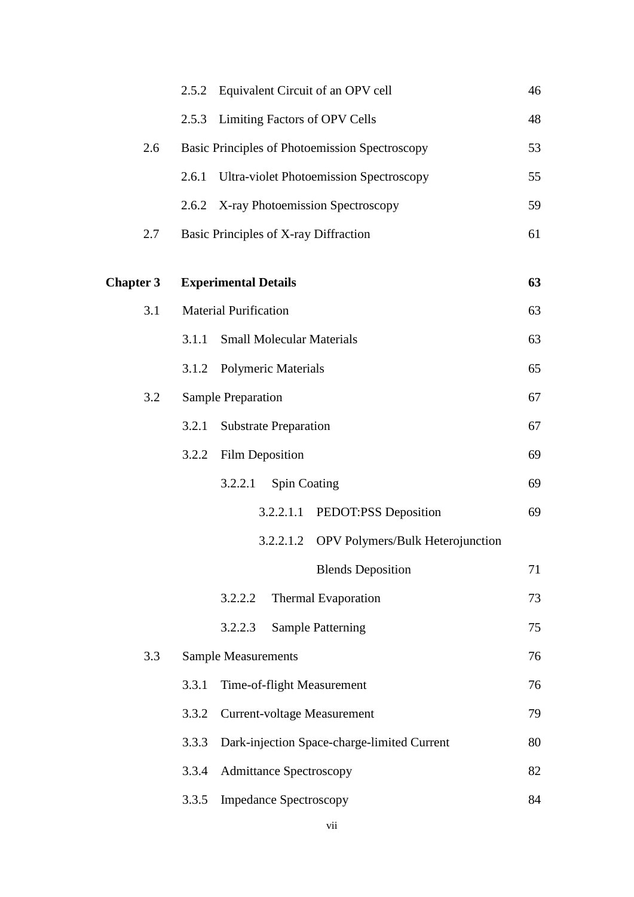|                  |       | 2.5.2 Equivalent Circuit of an OPV cell               | 46 |
|------------------|-------|-------------------------------------------------------|----|
|                  | 2.5.3 | <b>Limiting Factors of OPV Cells</b>                  | 48 |
| 2.6              |       | <b>Basic Principles of Photoemission Spectroscopy</b> | 53 |
|                  | 2.6.1 | <b>Ultra-violet Photoemission Spectroscopy</b>        | 55 |
|                  |       | 2.6.2 X-ray Photoemission Spectroscopy                | 59 |
| 2.7              |       | Basic Principles of X-ray Diffraction                 | 61 |
|                  |       |                                                       |    |
| <b>Chapter 3</b> |       | <b>Experimental Details</b>                           | 63 |
| 3.1              |       | <b>Material Purification</b>                          | 63 |
|                  | 3.1.1 | <b>Small Molecular Materials</b>                      | 63 |
|                  | 3.1.2 | <b>Polymeric Materials</b>                            | 65 |
| 3.2              |       | <b>Sample Preparation</b>                             | 67 |
|                  | 3.2.1 | <b>Substrate Preparation</b>                          | 67 |
|                  | 3.2.2 | Film Deposition                                       | 69 |
|                  |       | 3.2.2.1<br><b>Spin Coating</b>                        | 69 |
|                  |       | PEDOT:PSS Deposition<br>3.2.2.1.1                     | 69 |
|                  |       | OPV Polymers/Bulk Heterojunction<br>3.2.2.1.2         |    |
|                  |       | <b>Blends Deposition</b>                              | 71 |
|                  |       | 3.2.2.2<br><b>Thermal Evaporation</b>                 | 73 |
|                  |       | <b>Sample Patterning</b><br>3.2.2.3                   | 75 |
| 3.3              |       | <b>Sample Measurements</b>                            | 76 |
|                  | 3.3.1 | Time-of-flight Measurement                            | 76 |
|                  | 3.3.2 | <b>Current-voltage Measurement</b>                    | 79 |
|                  | 3.3.3 | Dark-injection Space-charge-limited Current           | 80 |
|                  | 3.3.4 | <b>Admittance Spectroscopy</b>                        | 82 |
|                  | 3.3.5 | <b>Impedance Spectroscopy</b>                         | 84 |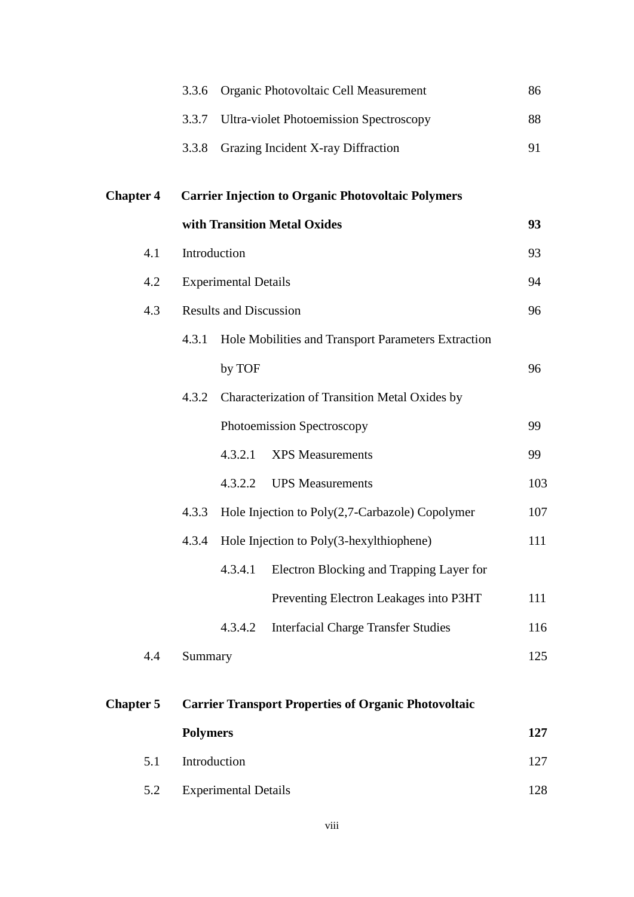|                  | Organic Photovoltaic Cell Measurement<br>3.3.6               | 86  |  |
|------------------|--------------------------------------------------------------|-----|--|
|                  | 3.3.7<br><b>Ultra-violet Photoemission Spectroscopy</b>      | 88  |  |
|                  | Grazing Incident X-ray Diffraction<br>3.3.8                  | 91  |  |
| <b>Chapter 4</b> | <b>Carrier Injection to Organic Photovoltaic Polymers</b>    |     |  |
|                  | with Transition Metal Oxides                                 | 93  |  |
| 4.1              | Introduction                                                 | 93  |  |
| 4.2              | <b>Experimental Details</b>                                  |     |  |
| 4.3              | <b>Results and Discussion</b>                                |     |  |
|                  | 4.3.1<br>Hole Mobilities and Transport Parameters Extraction |     |  |
|                  | by TOF                                                       | 96  |  |
|                  | 4.3.2<br>Characterization of Transition Metal Oxides by      |     |  |
|                  | Photoemission Spectroscopy                                   | 99  |  |
|                  | 4.3.2.1<br><b>XPS</b> Measurements                           | 99  |  |
|                  | 4.3.2.2<br><b>UPS</b> Measurements                           | 103 |  |
|                  | Hole Injection to Poly(2,7-Carbazole) Copolymer<br>4.3.3     | 107 |  |
|                  | Hole Injection to Poly(3-hexylthiophene)<br>4.3.4            | 111 |  |
|                  | Electron Blocking and Trapping Layer for<br>4.3.4.1          |     |  |
|                  | Preventing Electron Leakages into P3HT                       | 111 |  |
|                  | <b>Interfacial Charge Transfer Studies</b><br>4.3.4.2        | 116 |  |
| 4.4              | Summary                                                      | 125 |  |
| <b>Chapter 5</b> | <b>Carrier Transport Properties of Organic Photovoltaic</b>  |     |  |
|                  | <b>Polymers</b>                                              | 127 |  |
| 5.1              | Introduction                                                 | 127 |  |
| 5.2              | <b>Experimental Details</b>                                  |     |  |